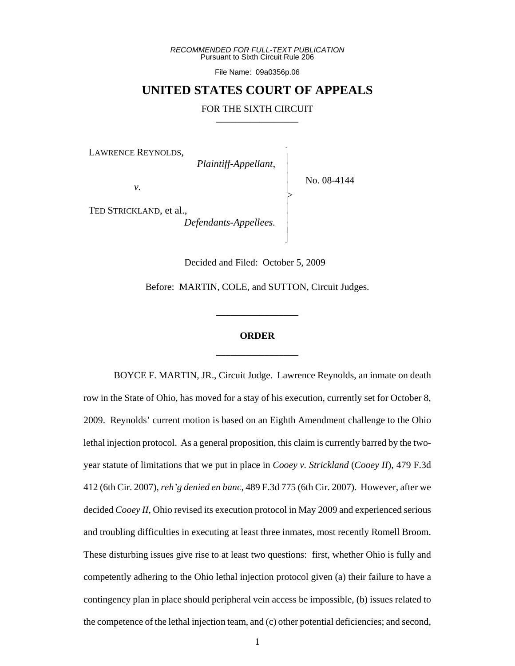*RECOMMENDED FOR FULL-TEXT PUBLICATION* Pursuant to Sixth Circuit Rule 206

File Name: 09a0356p.06

## **UNITED STATES COURT OF APPEALS**

## FOR THE SIXTH CIRCUIT

 $\overline{\phantom{a}}$ - - - > , - - - N

LAWRENCE REYNOLDS,

*Plaintiff-Appellant,*

No. 08-4144

*v.*

TED STRICKLAND, et al.,

*Defendants-Appellees.*

Decided and Filed: October 5, 2009

Before: MARTIN, COLE, and SUTTON, Circuit Judges.

**\_\_\_\_\_\_\_\_\_\_\_\_\_\_\_\_\_**

## **ORDER \_\_\_\_\_\_\_\_\_\_\_\_\_\_\_\_\_**

BOYCE F. MARTIN, JR., Circuit Judge. Lawrence Reynolds, an inmate on death row in the State of Ohio, has moved for a stay of his execution, currently set for October 8, 2009. Reynolds' current motion is based on an Eighth Amendment challenge to the Ohio lethal injection protocol. As a general proposition, this claim is currently barred by the twoyear statute of limitations that we put in place in *Cooey v. Strickland* (*Cooey II*), 479 F.3d 412 (6th Cir. 2007), *reh'g denied en banc*, 489 F.3d 775 (6th Cir. 2007). However, after we decided *Cooey II*, Ohio revised its execution protocol in May 2009 and experienced serious and troubling difficulties in executing at least three inmates, most recently Romell Broom. These disturbing issues give rise to at least two questions: first, whether Ohio is fully and competently adhering to the Ohio lethal injection protocol given (a) their failure to have a contingency plan in place should peripheral vein access be impossible, (b) issues related to the competence of the lethal injection team, and (c) other potential deficiencies; and second,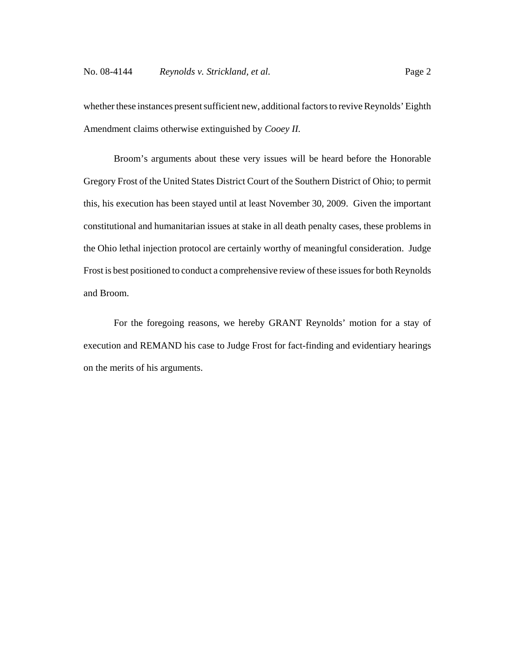whether these instances present sufficient new, additional factors to revive Reynolds' Eighth Amendment claims otherwise extinguished by *Cooey II.* 

Broom's arguments about these very issues will be heard before the Honorable Gregory Frost of the United States District Court of the Southern District of Ohio; to permit this, his execution has been stayed until at least November 30, 2009. Given the important constitutional and humanitarian issues at stake in all death penalty cases, these problems in the Ohio lethal injection protocol are certainly worthy of meaningful consideration. Judge Frost is best positioned to conduct a comprehensive review of these issues for both Reynolds and Broom.

For the foregoing reasons, we hereby GRANT Reynolds' motion for a stay of execution and REMAND his case to Judge Frost for fact-finding and evidentiary hearings on the merits of his arguments.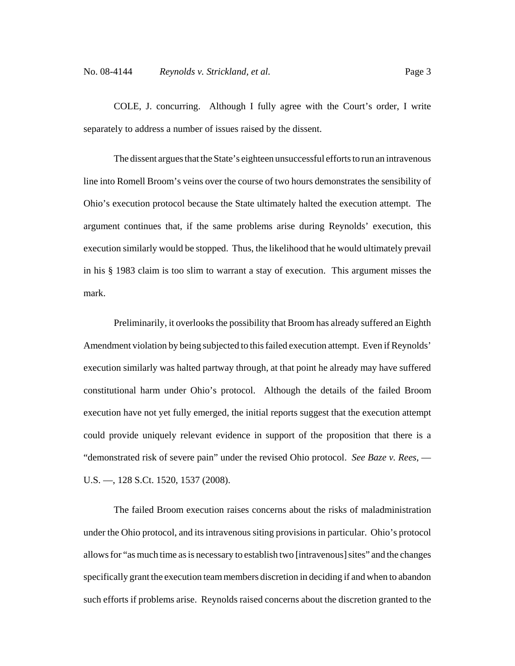COLE, J. concurring. Although I fully agree with the Court's order, I write separately to address a number of issues raised by the dissent.

The dissent argues that the State's eighteen unsuccessful efforts to run an intravenous line into Romell Broom's veins over the course of two hours demonstrates the sensibility of Ohio's execution protocol because the State ultimately halted the execution attempt. The argument continues that, if the same problems arise during Reynolds' execution, this execution similarly would be stopped. Thus, the likelihood that he would ultimately prevail in his § 1983 claim is too slim to warrant a stay of execution. This argument misses the mark.

Preliminarily, it overlooks the possibility that Broom has already suffered an Eighth Amendment violation by being subjected to this failed execution attempt. Even if Reynolds' execution similarly was halted partway through, at that point he already may have suffered constitutional harm under Ohio's protocol. Although the details of the failed Broom execution have not yet fully emerged, the initial reports suggest that the execution attempt could provide uniquely relevant evidence in support of the proposition that there is a "demonstrated risk of severe pain" under the revised Ohio protocol. *See Baze v. Rees*, — U.S. —, 128 S.Ct. 1520, 1537 (2008).

The failed Broom execution raises concerns about the risks of maladministration under the Ohio protocol, and its intravenous siting provisions in particular. Ohio's protocol allows for "as much time as is necessary to establish two [intravenous] sites" and the changes specifically grant the execution team members discretion in deciding if and when to abandon such efforts if problems arise. Reynolds raised concerns about the discretion granted to the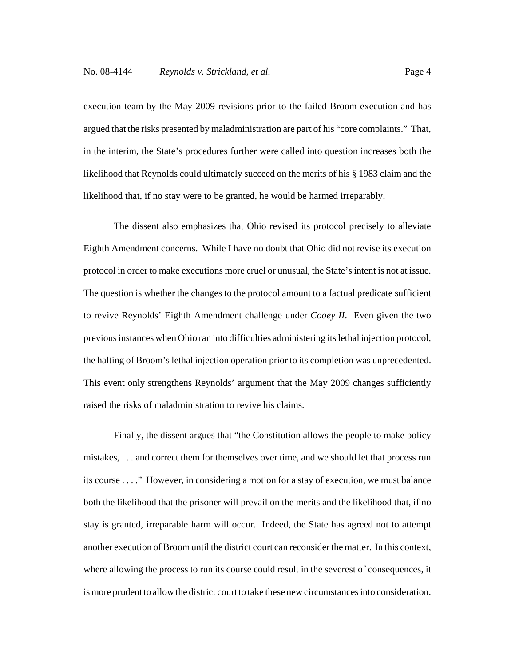execution team by the May 2009 revisions prior to the failed Broom execution and has argued that the risks presented by maladministration are part of his "core complaints." That, in the interim, the State's procedures further were called into question increases both the likelihood that Reynolds could ultimately succeed on the merits of his § 1983 claim and the likelihood that, if no stay were to be granted, he would be harmed irreparably.

The dissent also emphasizes that Ohio revised its protocol precisely to alleviate Eighth Amendment concerns. While I have no doubt that Ohio did not revise its execution protocol in order to make executions more cruel or unusual, the State's intent is not at issue. The question is whether the changes to the protocol amount to a factual predicate sufficient to revive Reynolds' Eighth Amendment challenge under *Cooey II*. Even given the two previous instances when Ohio ran into difficulties administering its lethal injection protocol, the halting of Broom's lethal injection operation prior to its completion was unprecedented. This event only strengthens Reynolds' argument that the May 2009 changes sufficiently raised the risks of maladministration to revive his claims.

Finally, the dissent argues that "the Constitution allows the people to make policy mistakes, . . . and correct them for themselves over time, and we should let that process run its course . . . ." However, in considering a motion for a stay of execution, we must balance both the likelihood that the prisoner will prevail on the merits and the likelihood that, if no stay is granted, irreparable harm will occur. Indeed, the State has agreed not to attempt another execution of Broom until the district court can reconsider the matter. In this context, where allowing the process to run its course could result in the severest of consequences, it is more prudent to allow the district court to take these new circumstances into consideration.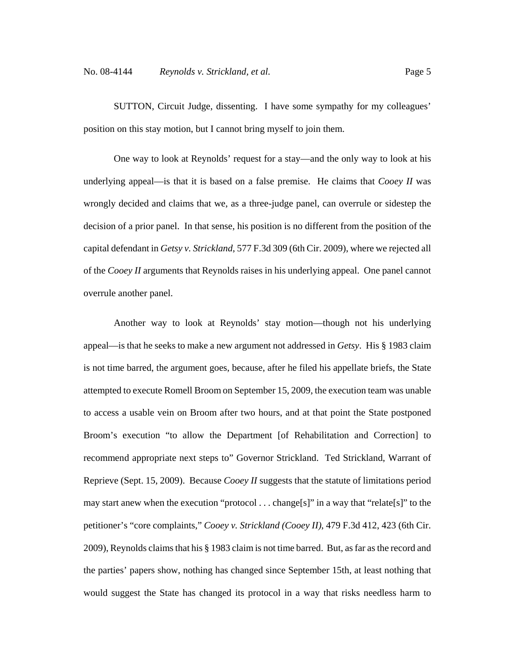SUTTON, Circuit Judge, dissenting. I have some sympathy for my colleagues' position on this stay motion, but I cannot bring myself to join them.

One way to look at Reynolds' request for a stay—and the only way to look at his underlying appeal—is that it is based on a false premise. He claims that *Cooey II* was wrongly decided and claims that we, as a three-judge panel, can overrule or sidestep the decision of a prior panel. In that sense, his position is no different from the position of the capital defendant in *Getsy v. Strickland*, 577 F.3d 309 (6th Cir. 2009), where we rejected all of the *Cooey II* arguments that Reynolds raises in his underlying appeal. One panel cannot overrule another panel.

Another way to look at Reynolds' stay motion—though not his underlying appeal—is that he seeks to make a new argument not addressed in *Getsy*. His § 1983 claim is not time barred, the argument goes, because, after he filed his appellate briefs, the State attempted to execute Romell Broom on September 15, 2009, the execution team was unable to access a usable vein on Broom after two hours, and at that point the State postponed Broom's execution "to allow the Department [of Rehabilitation and Correction] to recommend appropriate next steps to" Governor Strickland. Ted Strickland, Warrant of Reprieve (Sept. 15, 2009).Because *Cooey II* suggests that the statute of limitations period may start anew when the execution "protocol . . . change[s]" in a way that "relate[s]" to the petitioner's "core complaints," *Cooey v. Strickland (Cooey II)*, 479 F.3d 412, 423 (6th Cir. 2009), Reynolds claims that his § 1983 claim is not time barred. But, as far as the record and the parties' papers show, nothing has changed since September 15th, at least nothing that would suggest the State has changed its protocol in a way that risks needless harm to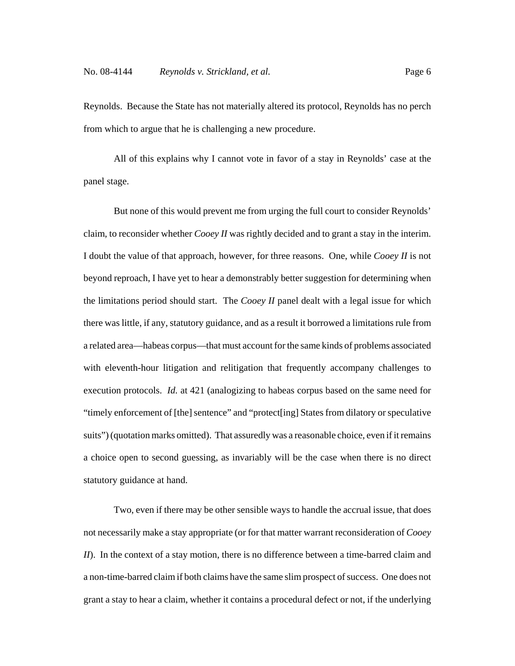Reynolds. Because the State has not materially altered its protocol, Reynolds has no perch from which to argue that he is challenging a new procedure.

All of this explains why I cannot vote in favor of a stay in Reynolds' case at the panel stage.

But none of this would prevent me from urging the full court to consider Reynolds' claim, to reconsider whether *Cooey II* was rightly decided and to grant a stay in the interim. I doubt the value of that approach, however, for three reasons. One, while *Cooey II* is not beyond reproach, I have yet to hear a demonstrably better suggestion for determining when the limitations period should start. The *Cooey II* panel dealt with a legal issue for which there was little, if any, statutory guidance, and as a result it borrowed a limitations rule from a related area—habeas corpus—that must account for the same kinds of problems associated with eleventh-hour litigation and relitigation that frequently accompany challenges to execution protocols. *Id.* at 421 (analogizing to habeas corpus based on the same need for "timely enforcement of [the] sentence" and "protect[ing] States from dilatory or speculative suits") (quotation marks omitted). That assuredly was a reasonable choice, even if it remains a choice open to second guessing, as invariably will be the case when there is no direct statutory guidance at hand.

Two, even if there may be other sensible ways to handle the accrual issue, that does not necessarily make a stay appropriate (or for that matter warrant reconsideration of *Cooey II*). In the context of a stay motion, there is no difference between a time-barred claim and a non-time-barred claim if both claims have the same slim prospect of success. One does not grant a stay to hear a claim, whether it contains a procedural defect or not, if the underlying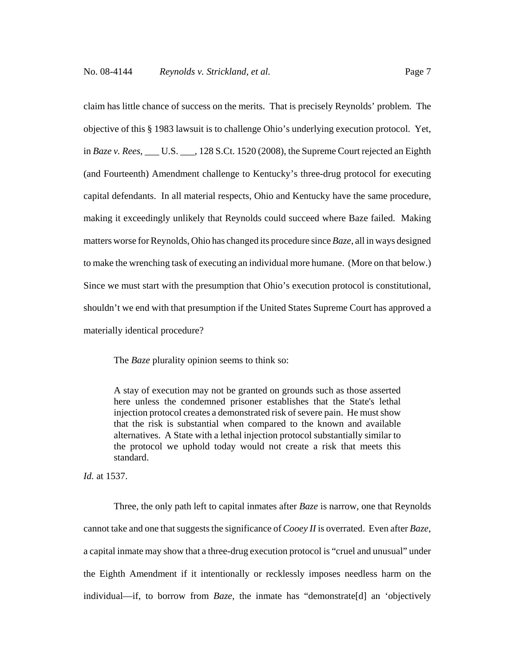claim has little chance of success on the merits. That is precisely Reynolds' problem. The objective of this § 1983 lawsuit is to challenge Ohio's underlying execution protocol. Yet, in *Baze v. Rees*, \_\_\_ U.S. \_\_\_, 128 S.Ct. 1520 (2008), the Supreme Court rejected an Eighth (and Fourteenth) Amendment challenge to Kentucky's three-drug protocol for executing capital defendants. In all material respects, Ohio and Kentucky have the same procedure, making it exceedingly unlikely that Reynolds could succeed where Baze failed. Making matters worse for Reynolds, Ohio has changed its procedure since *Baze*, all in ways designed to make the wrenching task of executing an individual more humane. (More on that below.) Since we must start with the presumption that Ohio's execution protocol is constitutional, shouldn't we end with that presumption if the United States Supreme Court has approved a materially identical procedure?

The *Baze* plurality opinion seems to think so:

A stay of execution may not be granted on grounds such as those asserted here unless the condemned prisoner establishes that the State's lethal injection protocol creates a demonstrated risk of severe pain. He must show that the risk is substantial when compared to the known and available alternatives. A State with a lethal injection protocol substantially similar to the protocol we uphold today would not create a risk that meets this standard.

*Id.* at 1537.

Three, the only path left to capital inmates after *Baze* is narrow, one that Reynolds cannot take and one that suggests the significance of *Cooey II* is overrated. Even after *Baze*, a capital inmate may show that a three-drug execution protocol is "cruel and unusual" under the Eighth Amendment if it intentionally or recklessly imposes needless harm on the individual—if, to borrow from *Baze*, the inmate has "demonstrate[d] an 'objectively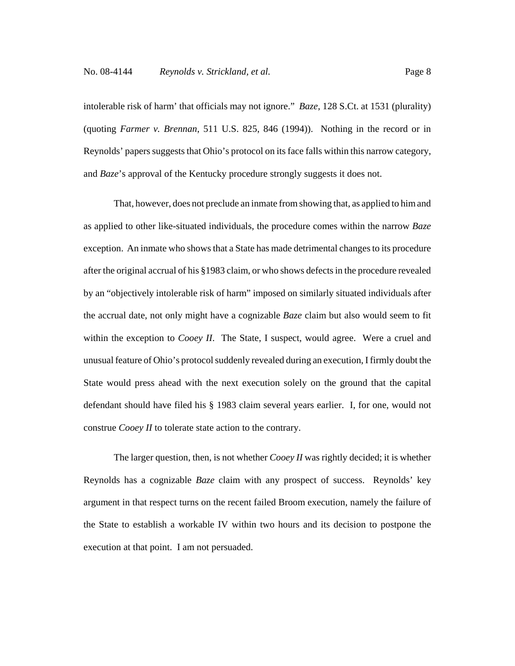intolerable risk of harm' that officials may not ignore." *Baze*, 128 S.Ct. at 1531 (plurality) (quoting *Farmer v. Brennan*, 511 U.S. 825, 846 (1994)). Nothing in the record or in Reynolds' papers suggests that Ohio's protocol on its face falls within this narrow category, and *Baze*'s approval of the Kentucky procedure strongly suggests it does not.

That, however, does not preclude an inmate from showing that, as applied to him and as applied to other like-situated individuals, the procedure comes within the narrow *Baze* exception. An inmate who shows that a State has made detrimental changes to its procedure after the original accrual of his §1983 claim, or who shows defects in the procedure revealed by an "objectively intolerable risk of harm" imposed on similarly situated individuals after the accrual date, not only might have a cognizable *Baze* claim but also would seem to fit within the exception to *Cooey II*. The State, I suspect, would agree. Were a cruel and unusual feature of Ohio's protocol suddenly revealed during an execution, I firmly doubt the State would press ahead with the next execution solely on the ground that the capital defendant should have filed his § 1983 claim several years earlier. I, for one, would not construe *Cooey II* to tolerate state action to the contrary.

The larger question, then, is not whether *Cooey II* was rightly decided; it is whether Reynolds has a cognizable *Baze* claim with any prospect of success. Reynolds' key argument in that respect turns on the recent failed Broom execution, namely the failure of the State to establish a workable IV within two hours and its decision to postpone the execution at that point. I am not persuaded.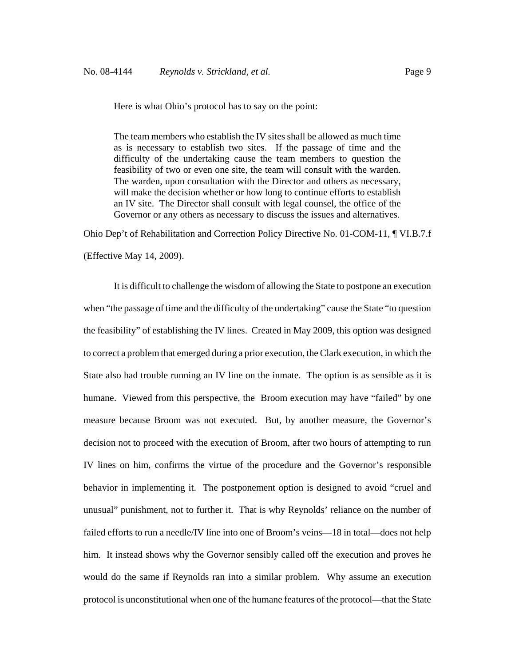Here is what Ohio's protocol has to say on the point:

The team members who establish the IV sites shall be allowed as much time as is necessary to establish two sites. If the passage of time and the difficulty of the undertaking cause the team members to question the feasibility of two or even one site, the team will consult with the warden. The warden, upon consultation with the Director and others as necessary, will make the decision whether or how long to continue efforts to establish an IV site. The Director shall consult with legal counsel, the office of the Governor or any others as necessary to discuss the issues and alternatives.

Ohio Dep't of Rehabilitation and Correction Policy Directive No. 01-COM-11, ¶ VI.B.7.f

(Effective May 14, 2009).

It is difficult to challenge the wisdom of allowing the State to postpone an execution when "the passage of time and the difficulty of the undertaking" cause the State "to question the feasibility" of establishing the IV lines. Created in May 2009, this option was designed to correct a problem that emerged during a prior execution, the Clark execution, in which the State also had trouble running an IV line on the inmate. The option is as sensible as it is humane. Viewed from this perspective, the Broom execution may have "failed" by one measure because Broom was not executed. But, by another measure, the Governor's decision not to proceed with the execution of Broom, after two hours of attempting to run IV lines on him, confirms the virtue of the procedure and the Governor's responsible behavior in implementing it. The postponement option is designed to avoid "cruel and unusual" punishment, not to further it. That is why Reynolds' reliance on the number of failed efforts to run a needle/IV line into one of Broom's veins—18 in total—does not help him. It instead shows why the Governor sensibly called off the execution and proves he would do the same if Reynolds ran into a similar problem. Why assume an execution protocol is unconstitutional when one of the humane features of the protocol—that the State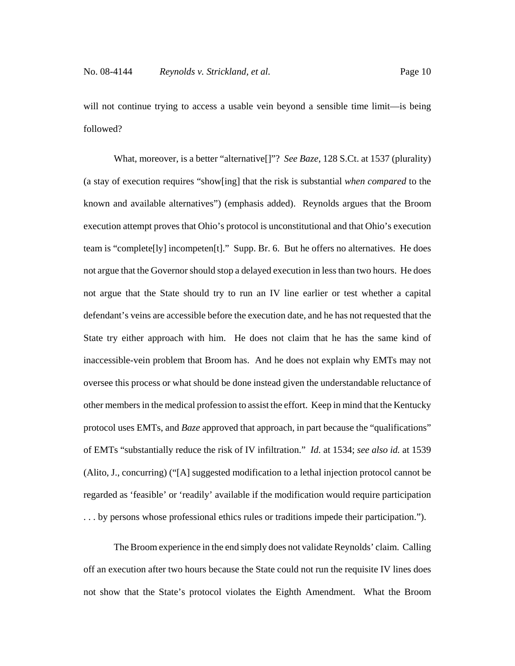will not continue trying to access a usable vein beyond a sensible time limit—is being followed?

What, moreover, is a better "alternative[]"? *See Baze*, 128 S.Ct. at 1537 (plurality) (a stay of execution requires "show[ing] that the risk is substantial *when compared* to the known and available alternatives") (emphasis added). Reynolds argues that the Broom execution attempt proves that Ohio's protocol is unconstitutional and that Ohio's execution team is "complete[ly] incompeten[t]." Supp. Br. 6. But he offers no alternatives. He does not argue that the Governor should stop a delayed execution in less than two hours. He does not argue that the State should try to run an IV line earlier or test whether a capital defendant's veins are accessible before the execution date, and he has not requested that the State try either approach with him. He does not claim that he has the same kind of inaccessible-vein problem that Broom has. And he does not explain why EMTs may not oversee this process or what should be done instead given the understandable reluctance of other members in the medical profession to assist the effort. Keep in mind that the Kentucky protocol uses EMTs, and *Baze* approved that approach, in part because the "qualifications" of EMTs "substantially reduce the risk of IV infiltration." *Id.* at 1534; *see also id.* at 1539 (Alito, J., concurring) ("[A] suggested modification to a lethal injection protocol cannot be regarded as 'feasible' or 'readily' available if the modification would require participation . . . by persons whose professional ethics rules or traditions impede their participation.").

The Broom experience in the end simply does not validate Reynolds' claim. Calling off an execution after two hours because the State could not run the requisite IV lines does not show that the State's protocol violates the Eighth Amendment. What the Broom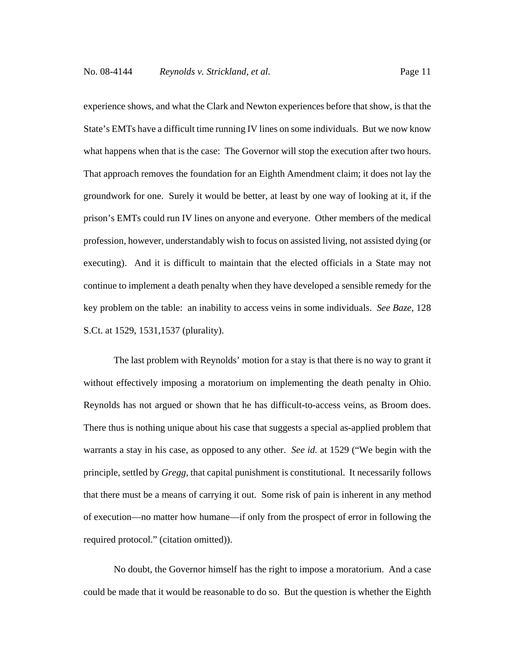experience shows, and what the Clark and Newton experiences before that show, is that the State's EMTs have a difficult time running IV lines on some individuals. But we now know what happens when that is the case: The Governor will stop the execution after two hours. That approach removes the foundation for an Eighth Amendment claim; it does not lay the groundwork for one. Surely it would be better, at least by one way of looking at it, if the prison's EMTs could run IV lines on anyone and everyone. Other members of the medical profession, however, understandably wish to focus on assisted living, not assisted dying (or executing). And it is difficult to maintain that the elected officials in a State may not continue to implement a death penalty when they have developed a sensible remedy for the

S.Ct. at 1529, 1531,1537 (plurality).

The last problem with Reynolds' motion for a stay is that there is no way to grant it without effectively imposing a moratorium on implementing the death penalty in Ohio. Reynolds has not argued or shown that he has difficult-to-access veins, as Broom does. There thus is nothing unique about his case that suggests a special as-applied problem that warrants a stay in his case, as opposed to any other. *See id.* at 1529 ("We begin with the principle, settled by *Gregg*, that capital punishment is constitutional. It necessarily follows that there must be a means of carrying it out. Some risk of pain is inherent in any method of execution—no matter how humane—if only from the prospect of error in following the required protocol." (citation omitted)).

key problem on the table: an inability to access veins in some individuals. *See Baze*, 128

No doubt, the Governor himself has the right to impose a moratorium. And a case could be made that it would be reasonable to do so. But the question is whether the Eighth